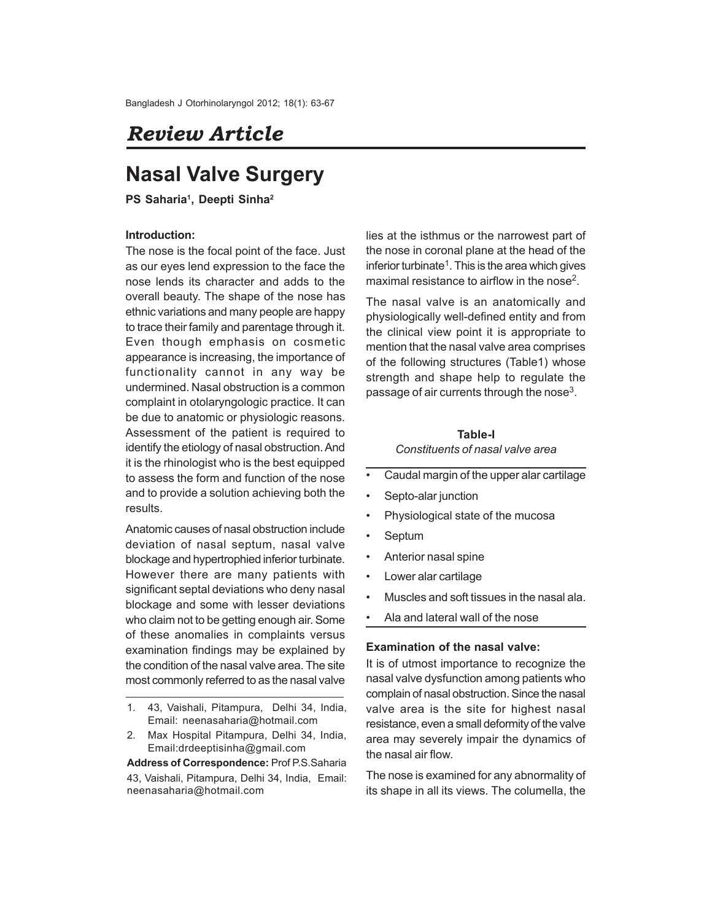# *Review Article*

# **Nasal Valve Surgery**

**PS Saharia<sup>1</sup> , Deepti Sinha<sup>2</sup>**

### **Introduction:**

The nose is the focal point of the face. Just as our eyes lend expression to the face the nose lends its character and adds to the overall beauty. The shape of the nose has ethnic variations and many people are happy to trace their family and parentage through it. Even though emphasis on cosmetic appearance is increasing, the importance of functionality cannot in any way be undermined. Nasal obstruction is a common complaint in otolaryngologic practice. It can be due to anatomic or physiologic reasons. Assessment of the patient is required to identify the etiology of nasal obstruction. And it is the rhinologist who is the best equipped to assess the form and function of the nose and to provide a solution achieving both the results.

Anatomic causes of nasal obstruction include deviation of nasal septum, nasal valve blockage and hypertrophied inferior turbinate. However there are many patients with significant septal deviations who deny nasal blockage and some with lesser deviations who claim not to be getting enough air. Some of these anomalies in complaints versus examination findings may be explained by the condition of the nasal valve area. The site most commonly referred to as the nasal valve

**Address of Correspondence:** Prof P.S.Saharia 43, Vaishali, Pitampura, Delhi 34, India, Email: neenasaharia@hotmail.com

lies at the isthmus or the narrowest part of the nose in coronal plane at the head of the inferior turbinate<sup>1</sup>. This is the area which gives maximal resistance to airflow in the nose<sup>2</sup>.

The nasal valve is an anatomically and physiologically well-defined entity and from the clinical view point it is appropriate to mention that the nasal valve area comprises of the following structures (Table1) whose strength and shape help to regulate the passage of air currents through the nose<sup>3</sup>.

## **Table-I** *Constituents of nasal valve area*

- Caudal margin of the upper alar cartilage
- Septo-alar junction
- Physiological state of the mucosa
- **Septum**
- Anterior nasal spine
- Lower alar cartilage
- Muscles and soft tissues in the nasal ala.
- Ala and lateral wall of the nose

#### **Examination of the nasal valve:**

It is of utmost importance to recognize the nasal valve dysfunction among patients who complain of nasal obstruction. Since the nasal valve area is the site for highest nasal resistance, even a small deformity of the valve area may severely impair the dynamics of the nasal air flow.

The nose is examined for any abnormality of its shape in all its views. The columella, the

<sup>1.</sup> 43, Vaishali, Pitampura, Delhi 34, India, Email: neenasaharia@hotmail.com

<sup>2.</sup> Max Hospital Pitampura, Delhi 34, India, Email:drdeeptisinha@gmail.com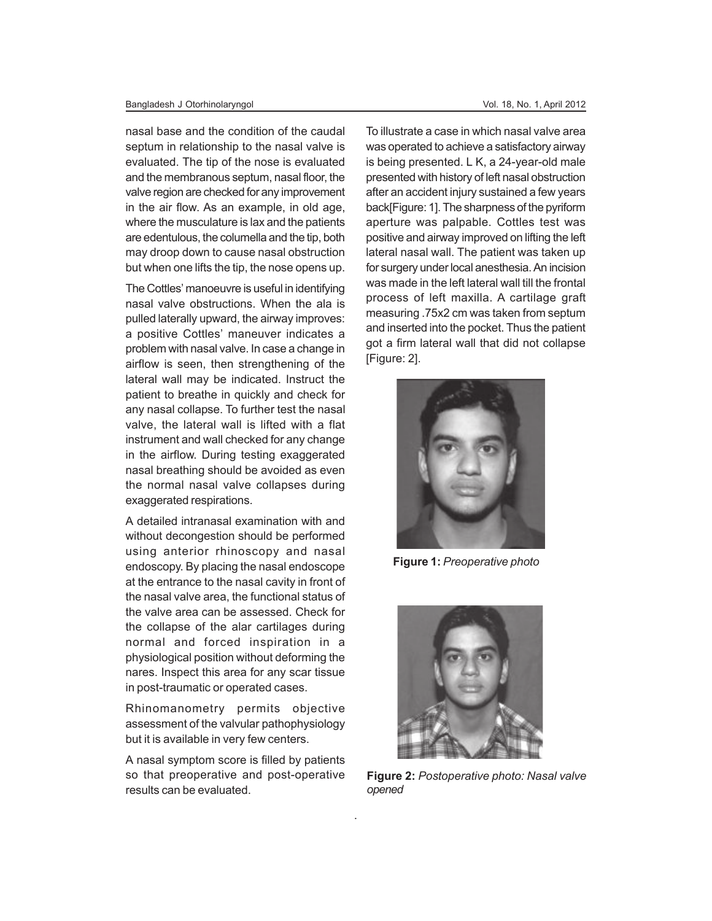#### Bangladesh J Otorhinolaryngol Vol. 18, No. 1, April 2012

nasal base and the condition of the caudal septum in relationship to the nasal valve is evaluated. The tip of the nose is evaluated and the membranous septum, nasal floor, the valve region are checked for any improvement in the air flow. As an example, in old age, where the musculature is lax and the patients are edentulous, the columella and the tip, both may droop down to cause nasal obstruction but when one lifts the tip, the nose opens up.

The Cottles' manoeuvre is useful in identifying nasal valve obstructions. When the ala is pulled laterally upward, the airway improves: a positive Cottles' maneuver indicates a problem with nasal valve. In case a change in airflow is seen, then strengthening of the lateral wall may be indicated. Instruct the patient to breathe in quickly and check for any nasal collapse. To further test the nasal valve, the lateral wall is lifted with a flat instrument and wall checked for any change in the airflow. During testing exaggerated nasal breathing should be avoided as even the normal nasal valve collapses during exaggerated respirations.

A detailed intranasal examination with and without decongestion should be performed using anterior rhinoscopy and nasal endoscopy. By placing the nasal endoscope at the entrance to the nasal cavity in front of the nasal valve area, the functional status of the valve area can be assessed. Check for the collapse of the alar cartilages during normal and forced inspiration in a physiological position without deforming the nares. Inspect this area for any scar tissue in post-traumatic or operated cases.

Rhinomanometry permits objective assessment of the valvular pathophysiology but it is available in very few centers.

A nasal symptom score is filled by patients so that preoperative and post-operative results can be evaluated.

.

To illustrate a case in which nasal valve area was operated to achieve a satisfactory airway is being presented. L K, a 24-year-old male presented with history of left nasal obstruction after an accident injury sustained a few years back[Figure: 1]. The sharpness of the pyriform aperture was palpable. Cottles test was positive and airway improved on lifting the left lateral nasal wall. The patient was taken up for surgery under local anesthesia. An incision was made in the left lateral wall till the frontal process of left maxilla. A cartilage graft measuring .75x2 cm was taken from septum and inserted into the pocket. Thus the patient got a firm lateral wall that did not collapse [Figure: 2].



**Figure 1:** *Preoperative photo*



**Figure 2:** *Postoperative photo: Nasal valve opened*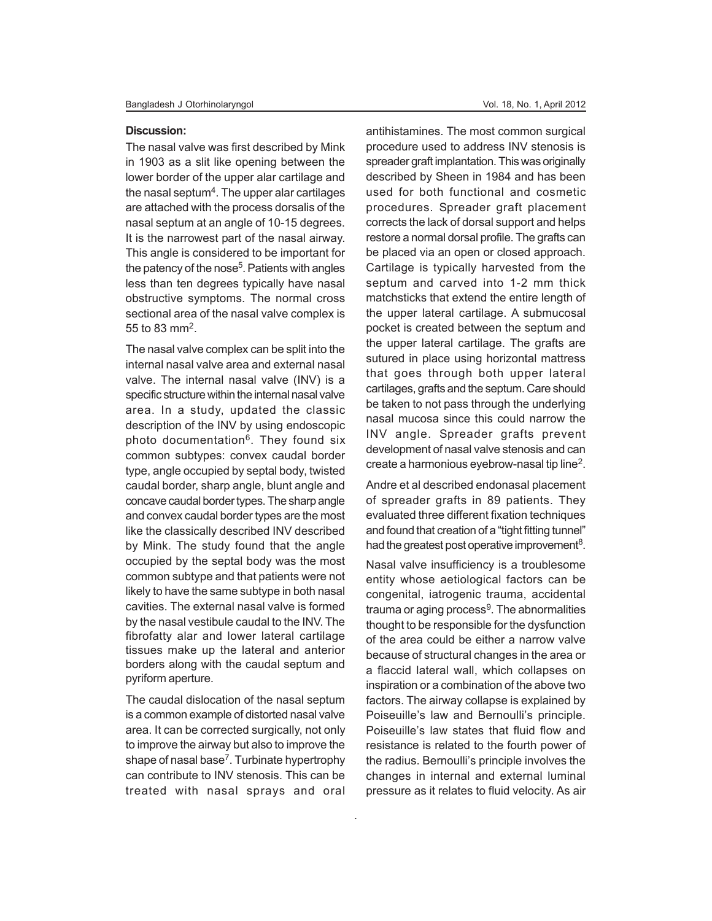#### **Discussion:**

The nasal valve was first described by Mink in 1903 as a slit like opening between the lower border of the upper alar cartilage and the nasal septum<sup>4</sup>. The upper alar cartilages are attached with the process dorsalis of the nasal septum at an angle of 10-15 degrees. It is the narrowest part of the nasal airway. This angle is considered to be important for the patency of the nose<sup>5</sup>. Patients with angles less than ten degrees typically have nasal obstructive symptoms. The normal cross sectional area of the nasal valve complex is 55 to 83 mm<sup>2</sup>.

The nasal valve complex can be split into the internal nasal valve area and external nasal valve. The internal nasal valve (INV) is a specific structure within the internal nasal valve area. In a study, updated the classic description of the INV by using endoscopic photo documentation<sup>6</sup>. They found six common subtypes: convex caudal border type, angle occupied by septal body, twisted caudal border, sharp angle, blunt angle and concave caudal border types. The sharp angle and convex caudal border types are the most like the classically described INV described by Mink. The study found that the angle occupied by the septal body was the most common subtype and that patients were not likely to have the same subtype in both nasal cavities. The external nasal valve is formed by the nasal vestibule caudal to the INV. The fibrofatty alar and lower lateral cartilage tissues make up the lateral and anterior borders along with the caudal septum and pyriform aperture.

The caudal dislocation of the nasal septum is a common example of distorted nasal valve area. It can be corrected surgically, not only to improve the airway but also to improve the shape of nasal base<sup>7</sup>. Turbinate hypertrophy can contribute to INV stenosis. This can be treated with nasal sprays and oral

.

antihistamines. The most common surgical procedure used to address INV stenosis is spreader graft implantation. This was originally described by Sheen in 1984 and has been used for both functional and cosmetic procedures. Spreader graft placement corrects the lack of dorsal support and helps restore a normal dorsal profile. The grafts can be placed via an open or closed approach. Cartilage is typically harvested from the septum and carved into 1-2 mm thick matchsticks that extend the entire length of the upper lateral cartilage. A submucosal pocket is created between the septum and the upper lateral cartilage. The grafts are sutured in place using horizontal mattress that goes through both upper lateral cartilages, grafts and the septum. Care should be taken to not pass through the underlying nasal mucosa since this could narrow the INV angle. Spreader grafts prevent development of nasal valve stenosis and can create a harmonious eyebrow-nasal tip line<sup>2</sup>.

Andre et al described endonasal placement of spreader grafts in 89 patients. They evaluated three different fixation techniques and found that creation of a "tight fitting tunnel" had the greatest post operative improvement<sup>8</sup>.

Nasal valve insufficiency is a troublesome entity whose aetiological factors can be congenital, iatrogenic trauma, accidental trauma or aging process<sup>9</sup>. The abnormalities thought to be responsible for the dysfunction of the area could be either a narrow valve because of structural changes in the area or a flaccid lateral wall, which collapses on inspiration or a combination of the above two factors. The airway collapse is explained by Poiseuille's law and Bernoulli's principle. Poiseuille's law states that fluid flow and resistance is related to the fourth power of the radius. Bernoulli's principle involves the changes in internal and external luminal pressure as it relates to fluid velocity. As air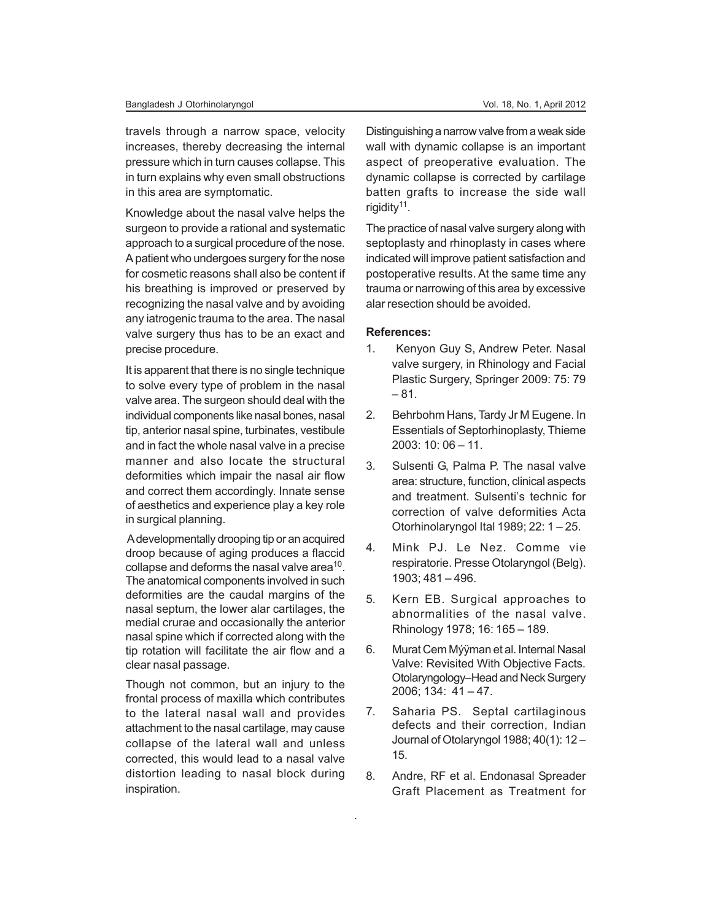travels through a narrow space, velocity increases, thereby decreasing the internal pressure which in turn causes collapse. This in turn explains why even small obstructions in this area are symptomatic.

Knowledge about the nasal valve helps the surgeon to provide a rational and systematic approach to a surgical procedure of the nose. A patient who undergoes surgery for the nose for cosmetic reasons shall also be content if his breathing is improved or preserved by recognizing the nasal valve and by avoiding any iatrogenic trauma to the area. The nasal valve surgery thus has to be an exact and precise procedure.

It is apparent that there is no single technique to solve every type of problem in the nasal valve area. The surgeon should deal with the individual components like nasal bones, nasal tip, anterior nasal spine, turbinates, vestibule and in fact the whole nasal valve in a precise manner and also locate the structural deformities which impair the nasal air flow and correct them accordingly. Innate sense of aesthetics and experience play a key role in surgical planning.

 A developmentally drooping tip or an acquired droop because of aging produces a flaccid collapse and deforms the nasal valve area $^{10}$ . The anatomical components involved in such deformities are the caudal margins of the nasal septum, the lower alar cartilages, the medial crurae and occasionally the anterior nasal spine which if corrected along with the tip rotation will facilitate the air flow and a clear nasal passage.

Though not common, but an injury to the frontal process of maxilla which contributes to the lateral nasal wall and provides attachment to the nasal cartilage, may cause collapse of the lateral wall and unless corrected, this would lead to a nasal valve distortion leading to nasal block during inspiration.

Distinguishing a narrow valve from a weak side wall with dynamic collapse is an important aspect of preoperative evaluation. The dynamic collapse is corrected by cartilage batten grafts to increase the side wall rigidity<sup>11</sup>.

The practice of nasal valve surgery along with septoplasty and rhinoplasty in cases where indicated will improve patient satisfaction and postoperative results. At the same time any trauma or narrowing of this area by excessive alar resection should be avoided.

### **References:**

- 1. Kenyon Guy S, Andrew Peter. Nasal valve surgery, in Rhinology and Facial Plastic Surgery, Springer 2009: 75: 79 – 81.
- 2. Behrbohm Hans, Tardy Jr M Eugene. In Essentials of Septorhinoplasty, Thieme 2003: 10: 06 – 11.
- 3. Sulsenti G, Palma P. The nasal valve area: structure, function, clinical aspects and treatment. Sulsenti's technic for correction of valve deformities Acta Otorhinolaryngol Ital 1989; 22: 1 – 25.
- 4. Mink PJ. Le Nez. Comme vie respiratorie. Presse Otolaryngol (Belg). 1903; 481 – 496.
- 5. Kern EB. Surgical approaches to abnormalities of the nasal valve. Rhinology 1978; 16: 165 – 189.
- 6. Murat Cem Mýÿman et al. Internal Nasal Valve: Revisited With Objective Facts. Otolaryngology–Head and Neck Surgery 2006; 134: 41 – 47.
- 7. Saharia PS. Septal cartilaginous defects and their correction, Indian Journal of Otolaryngol 1988; 40(1): 12 – 15.
- 8. Andre, RF et al. Endonasal Spreader Graft Placement as Treatment for

.